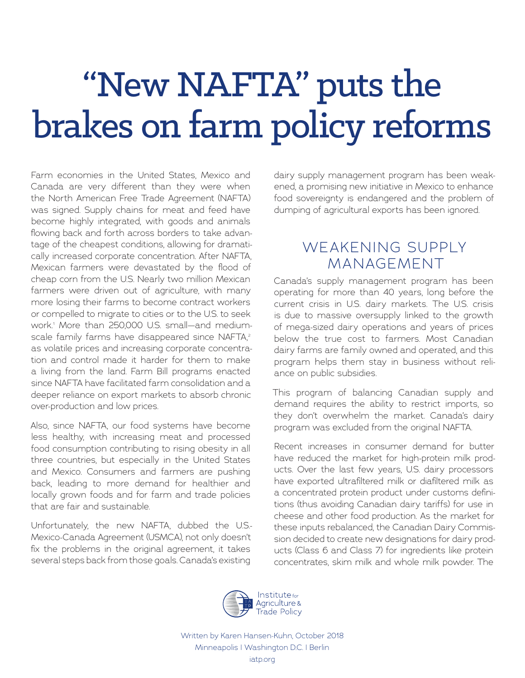# "New NAFTA" puts the brakes on farm policy reforms

Farm economies in the United States, Mexico and Canada are very different than they were when the North American Free Trade Agreement (NAFTA) was signed. Supply chains for meat and feed have become highly integrated, with goods and animals flowing back and forth across borders to take advantage of the cheapest conditions, allowing for dramatically increased corporate concentration. After NAFTA, Mexican farmers were devastated by the flood of cheap corn from the U.S. Nearly two million Mexican farmers were driven out of agriculture, with many more losing their farms to become contract workers or compelled to migrate to cities or to the U.S. to seek work.1 More than 250,000 U.S. small—and mediumscale family farms have disappeared since NAFTA,<sup>2</sup> as volatile prices and increasing corporate concentration and control made it harder for them to make a living from the land. Farm Bill programs enacted since NAFTA have facilitated farm consolidation and a deeper reliance on export markets to absorb chronic over-production and low prices.

Also, since NAFTA, our food systems have become less healthy, with increasing meat and processed food consumption contributing to rising obesity in all three countries, but especially in the United States and Mexico. Consumers and farmers are pushing back, leading to more demand for healthier and locally grown foods and for farm and trade policies that are fair and sustainable.

Unfortunately, the new NAFTA, dubbed the U.S.- Mexico-Canada Agreement (USMCA), not only doesn't fix the problems in the original agreement, it takes several steps back from those goals. Canada's existing

dairy supply management program has been weakened, a promising new initiative in Mexico to enhance food sovereignty is endangered and the problem of dumping of agricultural exports has been ignored.

## WEAKENING SUPPLY MANAGEMENT

Canada's supply management program has been operating for more than 40 years, long before the current crisis in U.S. dairy markets. The U.S. crisis is due to massive oversupply linked to the growth of mega-sized dairy operations and years of prices below the true cost to farmers. Most Canadian dairy farms are family owned and operated, and this program helps them stay in business without reliance on public subsidies.

This program of balancing Canadian supply and demand requires the ability to restrict imports, so they don't overwhelm the market. Canada's dairy program was excluded from the original NAFTA.

Recent increases in consumer demand for butter have reduced the market for high-protein milk products. Over the last few years, U.S. dairy processors have exported ultrafiltered milk or diafiltered milk as a concentrated protein product under customs definitions (thus avoiding Canadian dairy tariffs) for use in cheese and other food production. As the market for these inputs rebalanced, the Canadian Dairy Commission decided to create new designations for dairy products (Class 6 and Class 7) for ingredients like protein concentrates, skim milk and whole milk powder. The



Written by Karen Hansen-Kuhn, October 2018 Minneapolis | Washington D.C. | Berlin iatp.org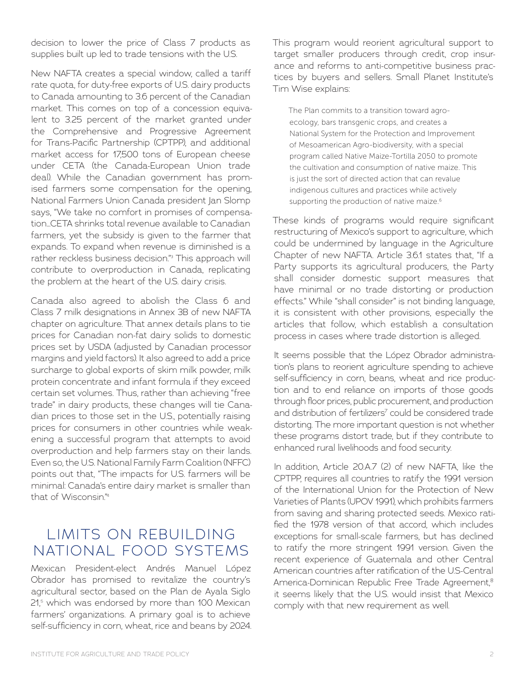decision to lower the price of Class 7 products as supplies built up led to trade tensions with the U.S.

New NAFTA creates a special window, called a tariff rate quota, for duty-free exports of U.S. dairy products to Canada amounting to 3.6 percent of the Canadian market. This comes on top of a concession equivalent to 3.25 percent of the market granted under the Comprehensive and Progressive Agreement for Trans-Pacific Partnership (CPTPP), and additional market access for 17,500 tons of European cheese under CETA (the Canada-European Union trade deal). While the Canadian government has promised farmers some compensation for the opening, National Farmers Union Canada president Jan Slomp says, "We take no comfort in promises of compensation…CETA shrinks total revenue available to Canadian farmers, yet the subsidy is given to the farmer that expands. To expand when revenue is diminished is a rather reckless business decision."3 This approach will contribute to overproduction in Canada, replicating the problem at the heart of the U.S. dairy crisis.

Canada also agreed to abolish the Class 6 and Class 7 milk designations in Annex 3B of new NAFTA chapter on agriculture. That annex details plans to tie prices for Canadian non-fat dairy solids to domestic prices set by USDA (adjusted by Canadian processor margins and yield factors). It also agreed to add a price surcharge to global exports of skim milk powder, milk protein concentrate and infant formula if they exceed certain set volumes. Thus, rather than achieving "free trade" in dairy products, these changes will tie Canadian prices to those set in the U.S., potentially raising prices for consumers in other countries while weakening a successful program that attempts to avoid overproduction and help farmers stay on their lands. Even so, the U.S. National Family Farm Coalition (NFFC) points out that, "The impacts for U.S. farmers will be minimal: Canada's entire dairy market is smaller than that of Wisconsin<sup>"4</sup>

# LIMITS ON REBUILDING NATIONAL FOOD SYSTEMS

Mexican President-elect Andrés Manuel López Obrador has promised to revitalize the country's agricultural sector, based on the Plan de Ayala Siglo 21,5 which was endorsed by more than 100 Mexican farmers' organizations. A primary goal is to achieve self-sufficiency in corn, wheat, rice and beans by 2024.

This program would reorient agricultural support to target smaller producers through credit, crop insurance and reforms to anti-competitive business practices by buyers and sellers. Small Planet Institute's Tim Wise explains:

The Plan commits to a transition toward agroecology, bars transgenic crops, and creates a National System for the Protection and Improvement of Mesoamerican Agro-biodiversity, with a special program called Native Maize-Tortilla 2050 to promote the cultivation and consumption of native maize. This is just the sort of directed action that can revalue indigenous cultures and practices while actively supporting the production of native maize.<sup>6</sup>

These kinds of programs would require significant restructuring of Mexico's support to agriculture, which could be undermined by language in the Agriculture Chapter of new NAFTA. Article 3.6.1 states that, "If a Party supports its agricultural producers, the Party shall consider domestic support measures that have minimal or no trade distorting or production effects." While "shall consider" is not binding language, it is consistent with other provisions, especially the articles that follow, which establish a consultation process in cases where trade distortion is alleged.

It seems possible that the López Obrador administration's plans to reorient agriculture spending to achieve self-sufficiency in corn, beans, wheat and rice production and to end reliance on imports of those goods through floor prices, public procurement, and production and distribution of fertilizers<sup>7</sup> could be considered trade distorting. The more important question is not whether these programs distort trade, but if they contribute to enhanced rural livelihoods and food security.

In addition, Article 20.A.7 (2) of new NAFTA, like the CPTPP, requires all countries to ratify the 1991 version of the International Union for the Protection of New Varieties of Plants (UPOV 1991), which prohibits farmers from saving and sharing protected seeds. Mexico ratified the 1978 version of that accord, which includes exceptions for small-scale farmers, but has declined to ratify the more stringent 1991 version. Given the recent experience of Guatemala and other Central American countries after ratification of the U.S-Central America-Dominican Republic Free Trade Agreement,<sup>8</sup> it seems likely that the U.S. would insist that Mexico comply with that new requirement as well.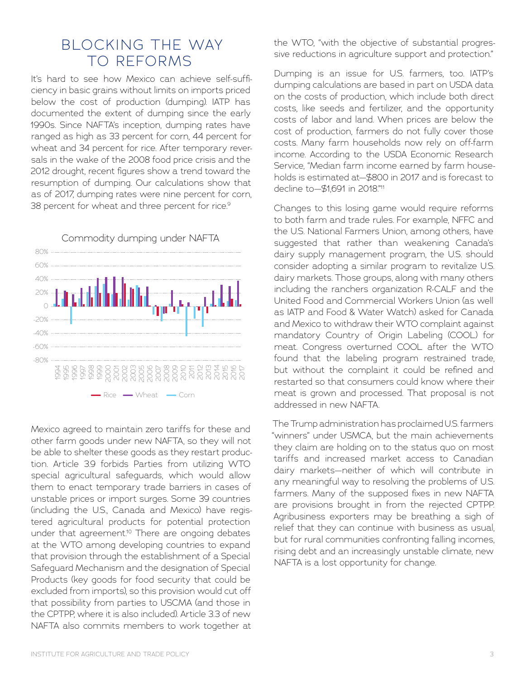#### BLOCKING THE WAY TO REFORMS

It's hard to see how Mexico can achieve self-sufficiency in basic grains without limits on imports priced below the cost of production (dumping). IATP has documented the extent of dumping since the early 1990s. Since NAFTA's inception, dumping rates have ranged as high as 33 percent for corn, 44 percent for wheat and 34 percent for rice. After temporary reversals in the wake of the 2008 food price crisis and the 2012 drought, recent figures show a trend toward the resumption of dumping. Our calculations show that as of 2017, dumping rates were nine percent for corn, 38 percent for wheat and three percent for rice.<sup>9</sup>



Mexico agreed to maintain zero tariffs for these and other farm goods under new NAFTA, so they will not be able to shelter these goods as they restart production. Article 3.9 forbids Parties from utilizing WTO special agricultural safeguards, which would allow them to enact temporary trade barriers in cases of unstable prices or import surges. Some 39 countries (including the U.S., Canada and Mexico) have registered agricultural products for potential protection under that agreement.<sup>10</sup> There are ongoing debates at the WTO among developing countries to expand that provision through the establishment of a Special Safeguard Mechanism and the designation of Special Products (key goods for food security that could be excluded from imports), so this provision would cut off that possibility from parties to USCMA (and those in the CPTPP, where it is also included). Article 3.3 of new NAFTA also commits members to work together at the WTO, "with the objective of substantial progressive reductions in agriculture support and protection."

Dumping is an issue for U.S. farmers, too. IATP's dumping calculations are based in part on USDA data on the costs of production, which include both direct costs, like seeds and fertilizer, and the opportunity costs of labor and land. When prices are below the cost of production, farmers do not fully cover those costs. Many farm households now rely on off-farm income. According to the USDA Economic Research Service, "Median farm income earned by farm households is estimated at—\$800 in 2017 and is forecast to decline to-\$1691 in 2018"<sup>11</sup>

Changes to this losing game would require reforms to both farm and trade rules. For example, NFFC and the U.S. National Farmers Union, among others, have suggested that rather than weakening Canada's dairy supply management program, the U.S. should consider adopting a similar program to revitalize U.S. dairy markets. Those groups, along with many others including the ranchers organization R-CALF and the United Food and Commercial Workers Union (as well as IATP and Food & Water Watch) asked for Canada and Mexico to withdraw their WTO complaint against mandatory Country of Origin Labeling (COOL) for meat. Congress overturned COOL after the WTO found that the labeling program restrained trade, but without the complaint it could be refined and restarted so that consumers could know where their meat is grown and processed. That proposal is not addressed in new NAFTA.

The Trump administration has proclaimed U.S. farmers "winners" under USMCA, but the main achievements they claim are holding on to the status quo on most tariffs and increased market access to Canadian dairy markets—neither of which will contribute in any meaningful way to resolving the problems of U.S. farmers. Many of the supposed fixes in new NAFTA are provisions brought in from the rejected CPTPP. Agribusiness exporters may be breathing a sigh of relief that they can continue with business as usual, but for rural communities confronting falling incomes, rising debt and an increasingly unstable climate, new NAFTA is a lost opportunity for change.